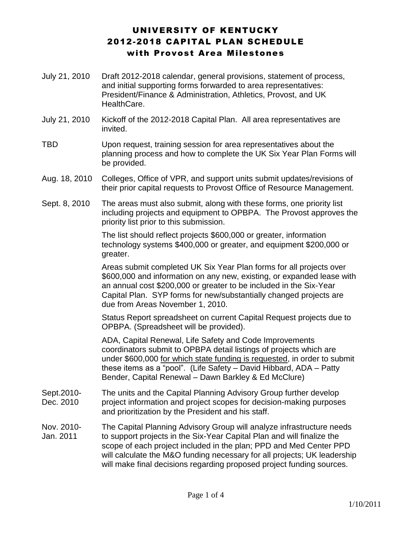# UNIVERSITY OF KENTUCKY 2012-2018 CAPITAL PLAN SCHEDULE with Provost Area Milestones

- July 21, 2010 Draft 2012-2018 calendar, general provisions, statement of process, and initial supporting forms forwarded to area representatives: President/Finance & Administration, Athletics, Provost, and UK HealthCare.
- July 21, 2010 Kickoff of the 2012-2018 Capital Plan. All area representatives are invited.
- TBD Upon request, training session for area representatives about the planning process and how to complete the UK Six Year Plan Forms will be provided.
- Aug. 18, 2010 Colleges, Office of VPR, and support units submit updates/revisions of their prior capital requests to Provost Office of Resource Management.
- Sept. 8, 2010 The areas must also submit, along with these forms, one priority list including projects and equipment to OPBPA. The Provost approves the priority list prior to this submission.

The list should reflect projects \$600,000 or greater, information technology systems \$400,000 or greater, and equipment \$200,000 or greater.

Areas submit completed UK Six Year Plan forms for all projects over \$600,000 and information on any new, existing, or expanded lease with an annual cost \$200,000 or greater to be included in the Six-Year Capital Plan. SYP forms for new/substantially changed projects are due from Areas November 1, 2010.

Status Report spreadsheet on current Capital Request projects due to OPBPA. (Spreadsheet will be provided).

ADA, Capital Renewal, Life Safety and Code Improvements coordinators submit to OPBPA detail listings of projects which are under \$600,000 for which state funding is requested, in order to submit these items as a "pool". (Life Safety – David Hibbard, ADA – Patty Bender, Capital Renewal – Dawn Barkley & Ed McClure)

- Sept.2010- Dec. 2010 The units and the Capital Planning Advisory Group further develop project information and project scopes for decision-making purposes and prioritization by the President and his staff.
- Nov. 2010- Jan. 2011 The Capital Planning Advisory Group will analyze infrastructure needs to support projects in the Six-Year Capital Plan and will finalize the scope of each project included in the plan; PPD and Med Center PPD will calculate the M&O funding necessary for all projects; UK leadership will make final decisions regarding proposed project funding sources.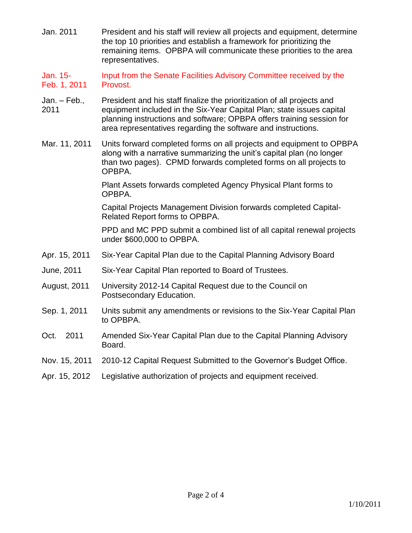- Jan. 2011 President and his staff will review all projects and equipment, determine the top 10 priorities and establish a framework for prioritizing the remaining items. OPBPA will communicate these priorities to the area representatives.
- Jan. 15- Feb. 1, 2011 Input from the Senate Facilities Advisory Committee received by the Provost.
- Jan. Feb., 2011 President and his staff finalize the prioritization of all projects and equipment included in the Six-Year Capital Plan; state issues capital planning instructions and software; OPBPA offers training session for area representatives regarding the software and instructions.
- Mar. 11, 2011 Units forward completed forms on all projects and equipment to OPBPA along with a narrative summarizing the unit's capital plan (no longer than two pages). CPMD forwards completed forms on all projects to OPBPA.

Plant Assets forwards completed Agency Physical Plant forms to OPBPA.

Capital Projects Management Division forwards completed Capital-Related Report forms to OPBPA.

PPD and MC PPD submit a combined list of all capital renewal projects under \$600,000 to OPBPA.

- Apr. 15, 2011 Six-Year Capital Plan due to the Capital Planning Advisory Board
- June, 2011 Six-Year Capital Plan reported to Board of Trustees.
- August, 2011 University 2012-14 Capital Request due to the Council on Postsecondary Education.
- Sep. 1, 2011 Units submit any amendments or revisions to the Six-Year Capital Plan to OPBPA.
- Oct. 2011 Amended Six-Year Capital Plan due to the Capital Planning Advisory Board.
- Nov. 15, 2011 2010-12 Capital Request Submitted to the Governor's Budget Office.
- Apr. 15, 2012 Legislative authorization of projects and equipment received.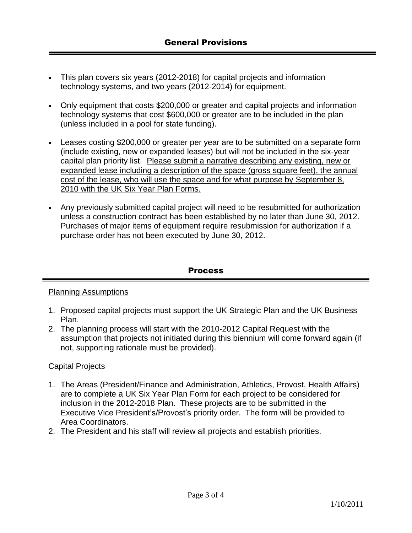- This plan covers six years (2012-2018) for capital projects and information technology systems, and two years (2012-2014) for equipment.
- Only equipment that costs \$200,000 or greater and capital projects and information technology systems that cost \$600,000 or greater are to be included in the plan (unless included in a pool for state funding).
- Leases costing \$200,000 or greater per year are to be submitted on a separate form (include existing, new or expanded leases) but will not be included in the six-year capital plan priority list. Please submit a narrative describing any existing, new or expanded lease including a description of the space (gross square feet), the annual cost of the lease, who will use the space and for what purpose by September 8, 2010 with the UK Six Year Plan Forms.
- Any previously submitted capital project will need to be resubmitted for authorization unless a construction contract has been established by no later than June 30, 2012. Purchases of major items of equipment require resubmission for authorization if a purchase order has not been executed by June 30, 2012.

### **Process**

### Planning Assumptions

- 1. Proposed capital projects must support the UK Strategic Plan and the UK Business Plan.
- 2. The planning process will start with the 2010-2012 Capital Request with the assumption that projects not initiated during this biennium will come forward again (if not, supporting rationale must be provided).

### Capital Projects

- 1. The Areas (President/Finance and Administration, Athletics, Provost, Health Affairs) are to complete a UK Six Year Plan Form for each project to be considered for inclusion in the 2012-2018 Plan. These projects are to be submitted in the Executive Vice President's/Provost's priority order. The form will be provided to Area Coordinators.
- 2. The President and his staff will review all projects and establish priorities.